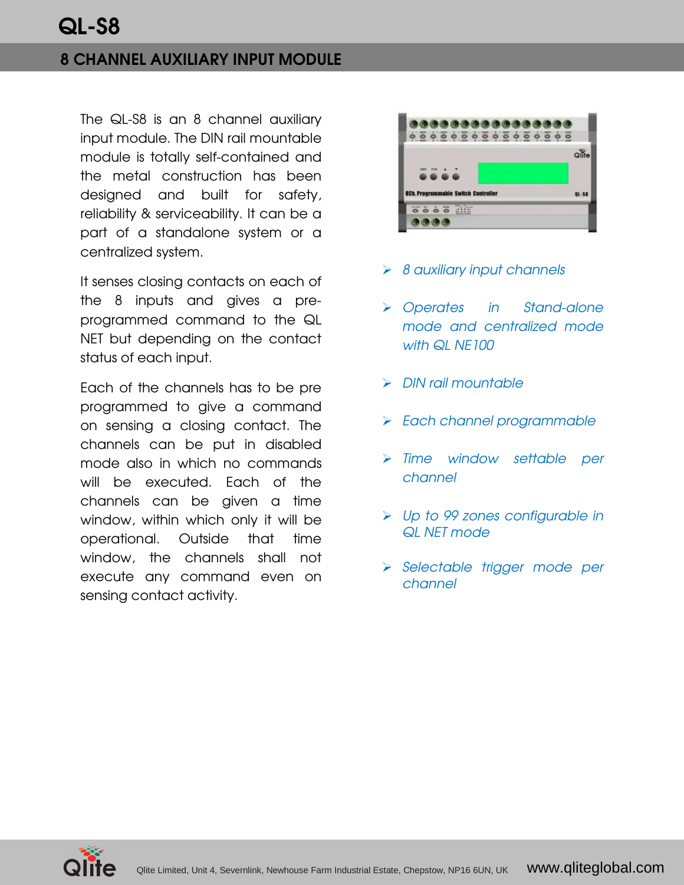## 8 CHANNEL AUXILIARY INPUT MODULE

The QL-S8 is an 8 channel auxiliary input module. The DIN rail mountable module is totally self-contained and the metal construction has been designed and built for safety, reliability & serviceability. It can be a part of a standalone system or a centralized system.

It senses closing contacts on each of the 8 inputs and gives a preprogrammed command to the QL NET but depending on the contact status of each input.

Each of the channels has to be pre programmed to give a command on sensing a closing contact. The channels can be put in disabled mode also in which no commands will be executed. Each of the channels can be given a time window, within which only it will be operational. Outside that time window, the channels shall not execute any command even on sensing contact activity.



- $\triangleright$  8 auxiliary input channels
- Operates in Stand-alone mode and centralized mode with QL NE100
- $\triangleright$  DIN rail mountable
- > Each channel programmable
- > Time window settable per channel
- Up to 99 zones configurable in QL NET mode
- Selectable trigger mode per channel

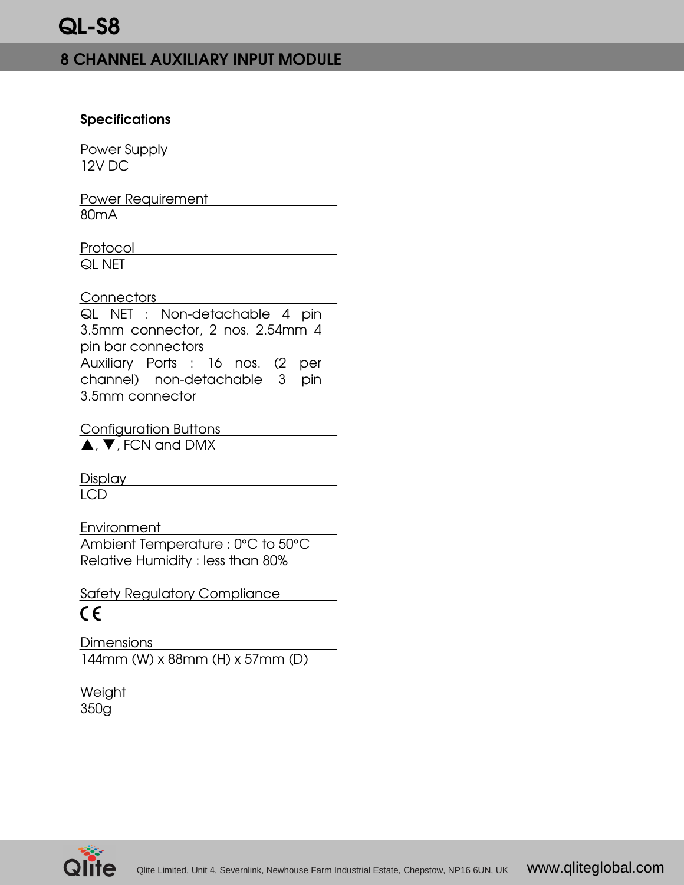# 8 CHANNEL AUXILIARY INPUT MODULE

#### **Specifications**

Power Supply **Example 2014** 12V DC

Power Requirement 80mA

Protocol QL NET

Connectors

QL NET : Non-detachable 4 pin 3.5mm connector, 2 nos. 2.54mm 4 pin bar connectors Auxiliary Ports : 16 nos. (2 per channel) non-detachable 3 pin 3.5mm connector

Configuration Buttons  $\blacktriangle$ ,  $\blacktriangledown$ , FCN and DMX

Display **Display** 

LCD

Environment

Ambient Temperature : 0°C to 50°C Relative Humidity : less than 80%

Safety Regulatory Compliance  $\epsilon$ 

Dimensions 144mm (W) x 88mm (H) x 57mm (D)

**Weight** 350g